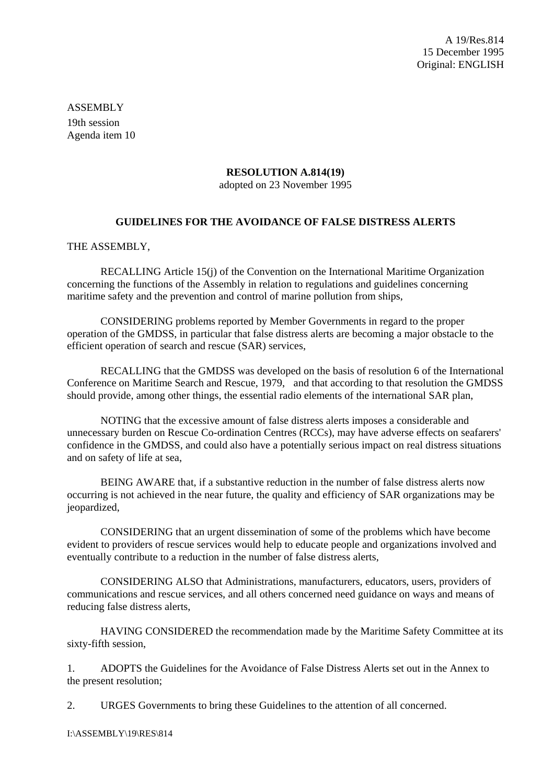A 19/Res.814 15 December 1995 Original: ENGLISH

ASSEMBLY 19th session Agenda item 10

### **RESOLUTION A.814(19)**

adopted on 23 November 1995

## **GUIDELINES FOR THE AVOIDANCE OF FALSE DISTRESS ALERTS**

#### THE ASSEMBLY,

RECALLING Article 15(j) of the Convention on the International Maritime Organization concerning the functions of the Assembly in relation to regulations and guidelines concerning maritime safety and the prevention and control of marine pollution from ships,

CONSIDERING problems reported by Member Governments in regard to the proper operation of the GMDSS, in particular that false distress alerts are becoming a major obstacle to the efficient operation of search and rescue (SAR) services,

RECALLING that the GMDSS was developed on the basis of resolution 6 of the International Conference on Maritime Search and Rescue, 1979, and that according to that resolution the GMDSS should provide, among other things, the essential radio elements of the international SAR plan,

NOTING that the excessive amount of false distress alerts imposes a considerable and unnecessary burden on Rescue Co-ordination Centres (RCCs), may have adverse effects on seafarers' confidence in the GMDSS, and could also have a potentially serious impact on real distress situations and on safety of life at sea,

BEING AWARE that, if a substantive reduction in the number of false distress alerts now occurring is not achieved in the near future, the quality and efficiency of SAR organizations may be jeopardized,

CONSIDERING that an urgent dissemination of some of the problems which have become evident to providers of rescue services would help to educate people and organizations involved and eventually contribute to a reduction in the number of false distress alerts,

CONSIDERING ALSO that Administrations, manufacturers, educators, users, providers of communications and rescue services, and all others concerned need guidance on ways and means of reducing false distress alerts,

HAVING CONSIDERED the recommendation made by the Maritime Safety Committee at its sixty-fifth session,

1. ADOPTS the Guidelines for the Avoidance of False Distress Alerts set out in the Annex to the present resolution;

2. URGES Governments to bring these Guidelines to the attention of all concerned.

I:\ASSEMBLY\19\RES\814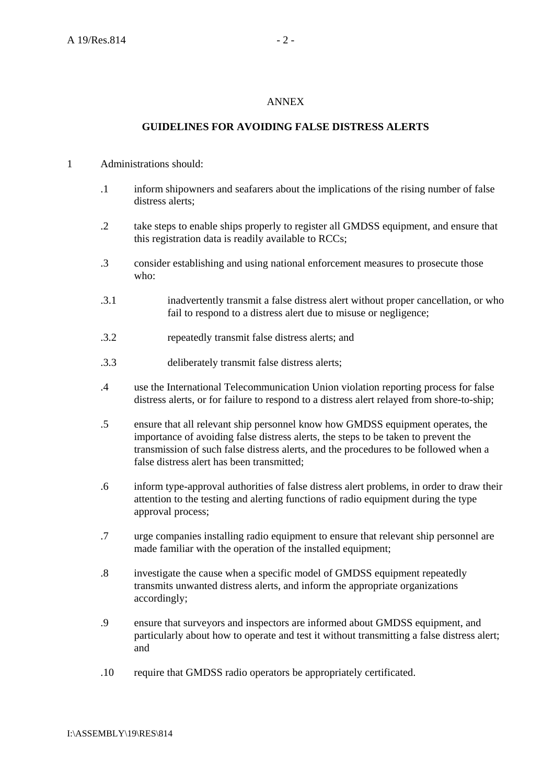### ANNEX

# **GUIDELINES FOR AVOIDING FALSE DISTRESS ALERTS**

### 1 Administrations should:

- .1 inform shipowners and seafarers about the implications of the rising number of false distress alerts;
- .2 take steps to enable ships properly to register all GMDSS equipment, and ensure that this registration data is readily available to RCCs;
- .3 consider establishing and using national enforcement measures to prosecute those who:
- .3.1 inadvertently transmit a false distress alert without proper cancellation, or who fail to respond to a distress alert due to misuse or negligence:
- .3.2 repeatedly transmit false distress alerts; and
- .3.3 deliberately transmit false distress alerts;
- .4 use the International Telecommunication Union violation reporting process for false distress alerts, or for failure to respond to a distress alert relayed from shore-to-ship;
- .5 ensure that all relevant ship personnel know how GMDSS equipment operates, the importance of avoiding false distress alerts, the steps to be taken to prevent the transmission of such false distress alerts, and the procedures to be followed when a false distress alert has been transmitted;
- .6 inform type-approval authorities of false distress alert problems, in order to draw their attention to the testing and alerting functions of radio equipment during the type approval process;
- .7 urge companies installing radio equipment to ensure that relevant ship personnel are made familiar with the operation of the installed equipment;
- .8 investigate the cause when a specific model of GMDSS equipment repeatedly transmits unwanted distress alerts, and inform the appropriate organizations accordingly;
- .9 ensure that surveyors and inspectors are informed about GMDSS equipment, and particularly about how to operate and test it without transmitting a false distress alert; and
- .10 require that GMDSS radio operators be appropriately certificated.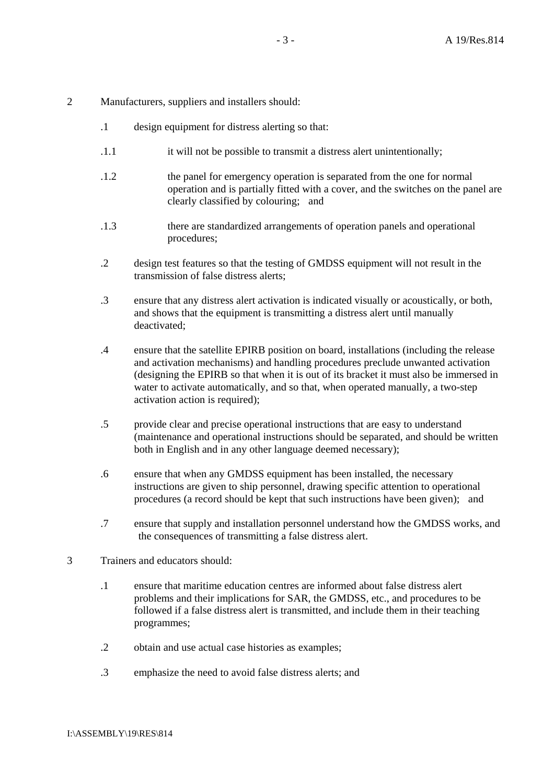#### 2 Manufacturers, suppliers and installers should:

- .1 design equipment for distress alerting so that:
- .1.1 it will not be possible to transmit a distress alert unintentionally;
- .1.2 the panel for emergency operation is separated from the one for normal operation and is partially fitted with a cover, and the switches on the panel are clearly classified by colouring; and
- .1.3 there are standardized arrangements of operation panels and operational procedures;
- .2 design test features so that the testing of GMDSS equipment will not result in the transmission of false distress alerts;
- .3 ensure that any distress alert activation is indicated visually or acoustically, or both, and shows that the equipment is transmitting a distress alert until manually deactivated;
- .4 ensure that the satellite EPIRB position on board, installations (including the release and activation mechanisms) and handling procedures preclude unwanted activation (designing the EPIRB so that when it is out of its bracket it must also be immersed in water to activate automatically, and so that, when operated manually, a two-step activation action is required);
- .5 provide clear and precise operational instructions that are easy to understand (maintenance and operational instructions should be separated, and should be written both in English and in any other language deemed necessary);
- .6 ensure that when any GMDSS equipment has been installed, the necessary instructions are given to ship personnel, drawing specific attention to operational procedures (a record should be kept that such instructions have been given); and
- .7 ensure that supply and installation personnel understand how the GMDSS works, and the consequences of transmitting a false distress alert.
- 3 Trainers and educators should:
	- .1 ensure that maritime education centres are informed about false distress alert problems and their implications for SAR, the GMDSS, etc., and procedures to be followed if a false distress alert is transmitted, and include them in their teaching programmes;
	- .2 obtain and use actual case histories as examples;
	- .3 emphasize the need to avoid false distress alerts; and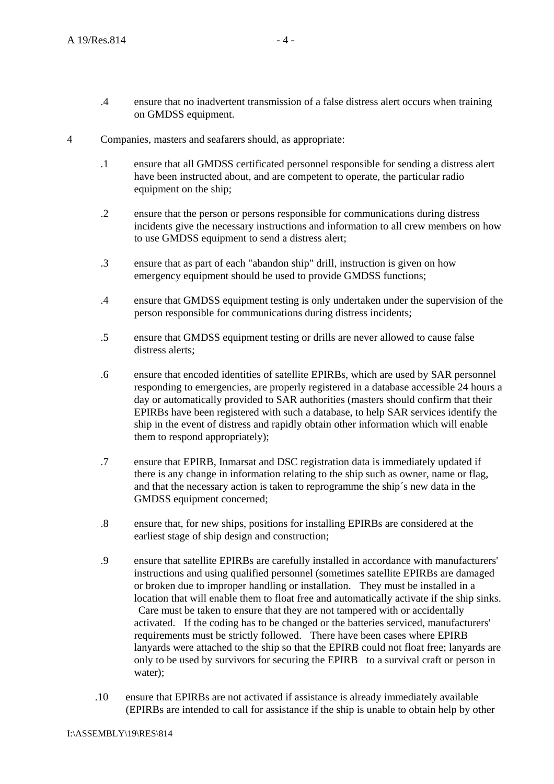- .4 ensure that no inadvertent transmission of a false distress alert occurs when training on GMDSS equipment.
- 4 Companies, masters and seafarers should, as appropriate:
	- .1 ensure that all GMDSS certificated personnel responsible for sending a distress alert have been instructed about, and are competent to operate, the particular radio equipment on the ship;
	- .2 ensure that the person or persons responsible for communications during distress incidents give the necessary instructions and information to all crew members on how to use GMDSS equipment to send a distress alert;
	- .3 ensure that as part of each "abandon ship" drill, instruction is given on how emergency equipment should be used to provide GMDSS functions;
	- .4 ensure that GMDSS equipment testing is only undertaken under the supervision of the person responsible for communications during distress incidents;
	- .5 ensure that GMDSS equipment testing or drills are never allowed to cause false distress alerts;
	- .6 ensure that encoded identities of satellite EPIRBs, which are used by SAR personnel responding to emergencies, are properly registered in a database accessible 24 hours a day or automatically provided to SAR authorities (masters should confirm that their EPIRBs have been registered with such a database, to help SAR services identify the ship in the event of distress and rapidly obtain other information which will enable them to respond appropriately);
	- .7 ensure that EPIRB, Inmarsat and DSC registration data is immediately updated if there is any change in information relating to the ship such as owner, name or flag, and that the necessary action is taken to reprogramme the ship´s new data in the GMDSS equipment concerned;
	- .8 ensure that, for new ships, positions for installing EPIRBs are considered at the earliest stage of ship design and construction;
	- .9 ensure that satellite EPIRBs are carefully installed in accordance with manufacturers' instructions and using qualified personnel (sometimes satellite EPIRBs are damaged or broken due to improper handling or installation. They must be installed in a location that will enable them to float free and automatically activate if the ship sinks. Care must be taken to ensure that they are not tampered with or accidentally activated. If the coding has to be changed or the batteries serviced, manufacturers' requirements must be strictly followed. There have been cases where EPIRB lanyards were attached to the ship so that the EPIRB could not float free; lanyards are only to be used by survivors for securing the EPIRB to a survival craft or person in water);
	- .10 ensure that EPIRBs are not activated if assistance is already immediately available (EPIRBs are intended to call for assistance if the ship is unable to obtain help by other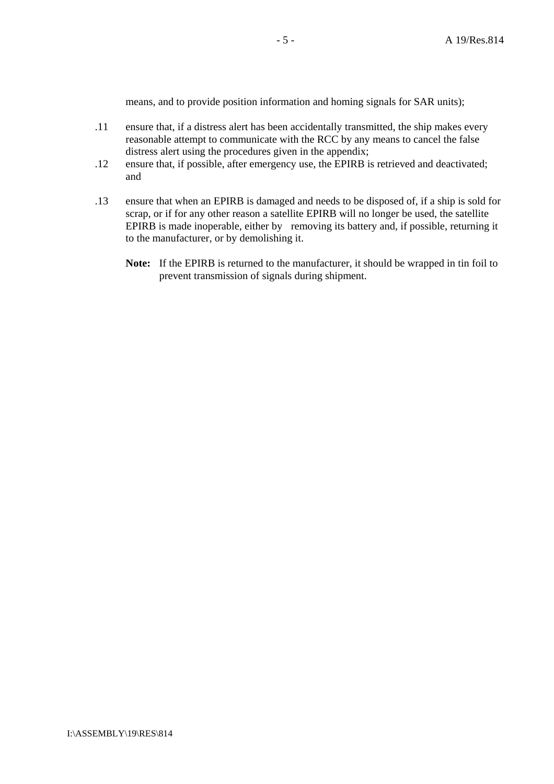means, and to provide position information and homing signals for SAR units);

- .11 ensure that, if a distress alert has been accidentally transmitted, the ship makes every reasonable attempt to communicate with the RCC by any means to cancel the false distress alert using the procedures given in the appendix;
- .12 ensure that, if possible, after emergency use, the EPIRB is retrieved and deactivated; and
- .13 ensure that when an EPIRB is damaged and needs to be disposed of, if a ship is sold for scrap, or if for any other reason a satellite EPIRB will no longer be used, the satellite EPIRB is made inoperable, either by removing its battery and, if possible, returning it to the manufacturer, or by demolishing it.
	- **Note:** If the EPIRB is returned to the manufacturer, it should be wrapped in tin foil to prevent transmission of signals during shipment.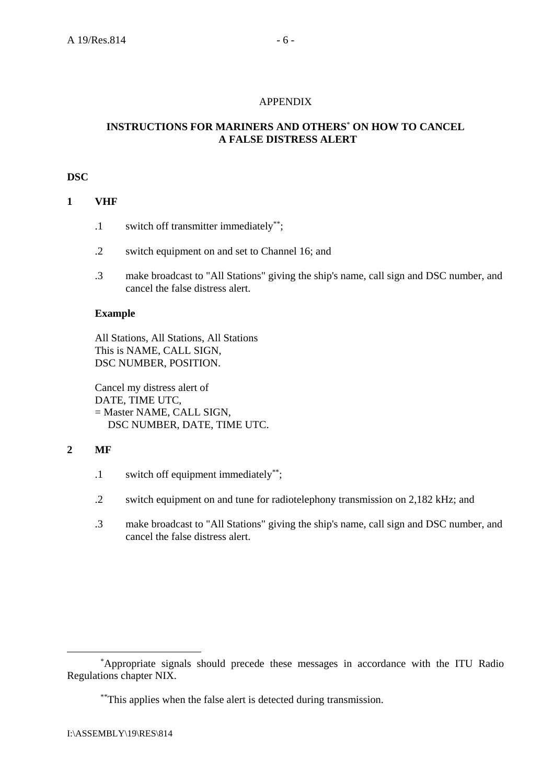## APPENDIX

# **INSTRUCTIONS FOR MARINERS AND OTHERS**\* **ON HOW TO CANCEL A FALSE DISTRESS ALERT**

### **DSC**

# **1 VHF**

- .1 switch off transmitter immediately\*\*;
- .2 switch equipment on and set to Channel 16; and
- .3 make broadcast to "All Stations" giving the ship's name, call sign and DSC number, and cancel the false distress alert.

## **Example**

All Stations, All Stations, All Stations This is NAME, CALL SIGN, DSC NUMBER, POSITION.

Cancel my distress alert of DATE, TIME UTC, = Master NAME, CALL SIGN, DSC NUMBER, DATE, TIME UTC.

# **2 MF**

- .1 switch off equipment immediately\*\*;
- .2 switch equipment on and tune for radiotelephony transmission on 2,182 kHz; and
- .3 make broadcast to "All Stations" giving the ship's name, call sign and DSC number, and cancel the false distress alert.

<sup>&</sup>lt;u>\*</u> Appropriate signals should precede these messages in accordance with the ITU Radio Regulations chapter NIX.

<sup>\*\*</sup>This applies when the false alert is detected during transmission.